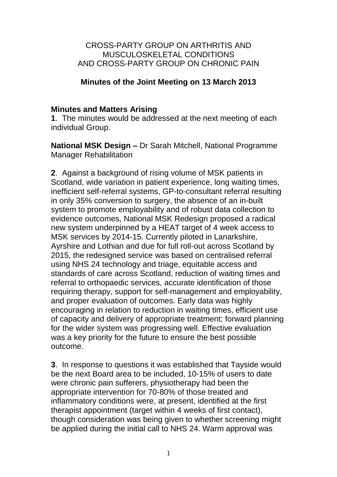## CROSS-PARTY GROUP ON ARTHRITIS AND MUSCULOSKELETAL CONDITIONS AND CROSS-PARTY GROUP ON CHRONIC PAIN

# **Minutes of the Joint Meeting on 13 March 2013**

## **Minutes and Matters Arising**

**1**. The minutes would be addressed at the next meeting of each individual Group.

**National MSK Design –** Dr Sarah Mitchell, National Programme Manager Rehabilitation

**2**. Against a background of rising volume of MSK patients in Scotland, wide variation in patient experience, long waiting times, inefficient self-referral systems, GP-to-consultant referral resulting in only 35% conversion to surgery, the absence of an in-built system to promote employability and of robust data collection to evidence outcomes, National MSK Redesign proposed a radical new system underpinned by a HEAT target of 4 week access to MSK services by 2014-15. Currently piloted in Lanarkshire, Ayrshire and Lothian and due for full roll-out across Scotland by 2015, the redesigned service was based on centralised referral using NHS 24 technology and triage, equitable access and standards of care across Scotland, reduction of waiting times and referral to orthopaedic services, accurate identification of those requiring therapy, support for self-management and employability, and proper evaluation of outcomes. Early data was highly encouraging in relation to reduction in waiting times, efficient use of capacity and delivery of appropriate treatment; forward planning for the wider system was progressing well. Effective evaluation was a key priority for the future to ensure the best possible outcome.

**3**. In response to questions it was established that Tayside would be the next Board area to be included, 10-15% of users to date were chronic pain sufferers, physiotherapy had been the appropriate intervention for 70-80% of those treated and inflammatory conditions were, at present, identified at the first therapist appointment (target within 4 weeks of first contact), though consideration was being given to whether screening might be applied during the initial call to NHS 24. Warm approval was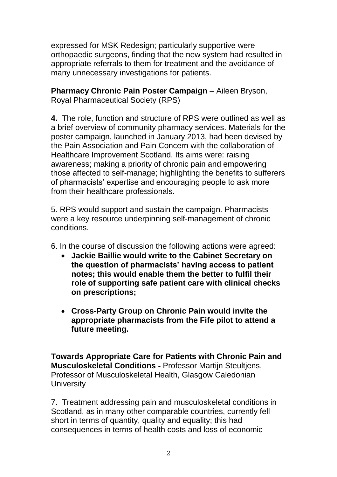expressed for MSK Redesign; particularly supportive were orthopaedic surgeons, finding that the new system had resulted in appropriate referrals to them for treatment and the avoidance of many unnecessary investigations for patients.

**Pharmacy Chronic Pain Poster Campaign – Aileen Bryson,** Royal Pharmaceutical Society (RPS)

**4.** The role, function and structure of RPS were outlined as well as a brief overview of community pharmacy services. Materials for the poster campaign, launched in January 2013, had been devised by the Pain Association and Pain Concern with the collaboration of Healthcare Improvement Scotland. Its aims were: raising awareness; making a priority of chronic pain and empowering those affected to self-manage; highlighting the benefits to sufferers of pharmacists' expertise and encouraging people to ask more from their healthcare professionals.

5. RPS would support and sustain the campaign. Pharmacists were a key resource underpinning self-management of chronic conditions.

6. In the course of discussion the following actions were agreed:

- **Jackie Baillie would write to the Cabinet Secretary on the question of pharmacists' having access to patient notes; this would enable them the better to fulfil their role of supporting safe patient care with clinical checks on prescriptions;**
- **Cross-Party Group on Chronic Pain would invite the appropriate pharmacists from the Fife pilot to attend a future meeting.**

**Towards Appropriate Care for Patients with Chronic Pain and Musculoskeletal Conditions -** Professor Martijn Steultjens, Professor of Musculoskeletal Health, Glasgow Caledonian **University** 

7. Treatment addressing pain and musculoskeletal conditions in Scotland, as in many other comparable countries, currently fell short in terms of quantity, quality and equality; this had consequences in terms of health costs and loss of economic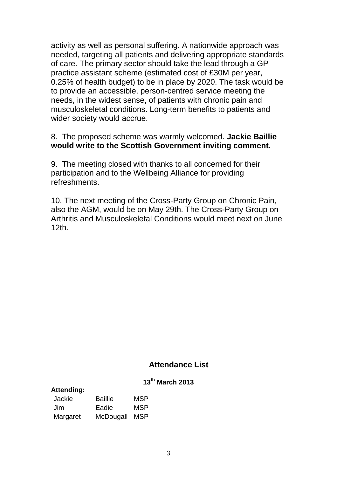activity as well as personal suffering. A nationwide approach was needed, targeting all patients and delivering appropriate standards of care. The primary sector should take the lead through a GP practice assistant scheme (estimated cost of £30M per year, 0.25% of health budget) to be in place by 2020. The task would be to provide an accessible, person-centred service meeting the needs, in the widest sense, of patients with chronic pain and musculoskeletal conditions. Long-term benefits to patients and wider society would accrue.

#### 8. The proposed scheme was warmly welcomed. **Jackie Baillie would write to the Scottish Government inviting comment.**

9. The meeting closed with thanks to all concerned for their participation and to the Wellbeing Alliance for providing refreshments.

10. The next meeting of the Cross-Party Group on Chronic Pain, also the AGM, would be on May 29th. The Cross-Party Group on Arthritis and Musculoskeletal Conditions would meet next on June 12th.

# **Attendance List**

#### **13th March 2013**

| <b>Attending:</b> |                | . . |
|-------------------|----------------|-----|
| Jackie            | <b>Baillie</b> | MSP |
| Jim               | Eadie          | MSP |
| Margaret          | McDougall      | MSP |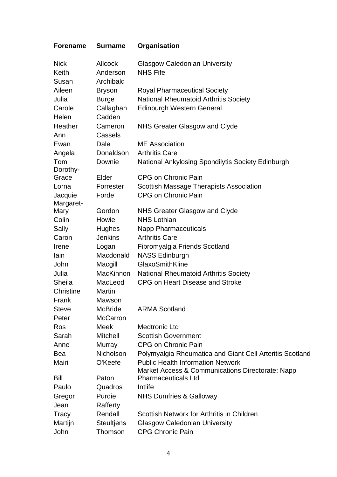| Forename | <b>Surname</b> | Organisation |
|----------|----------------|--------------|
|----------|----------------|--------------|

| <b>Nick</b><br>Keith<br>Susan | <b>Allcock</b><br>Anderson<br>Archibald | <b>Glasgow Caledonian University</b><br><b>NHS Fife</b>  |
|-------------------------------|-----------------------------------------|----------------------------------------------------------|
| Aileen                        | <b>Bryson</b>                           | <b>Royal Pharmaceutical Society</b>                      |
| Julia                         | <b>Burge</b>                            | <b>National Rheumatoid Arthritis Society</b>             |
| Carole                        | Callaghan                               | <b>Edinburgh Western General</b>                         |
| Helen                         | Cadden                                  |                                                          |
| Heather                       | Cameron                                 | NHS Greater Glasgow and Clyde                            |
| Ann                           | Cassels                                 |                                                          |
| Ewan                          | Dale                                    | <b>ME</b> Association                                    |
| Angela                        | Donaldson                               | <b>Arthritis Care</b>                                    |
| Tom                           | Downie                                  | National Ankylosing Spondilytis Society Edinburgh        |
| Dorothy-                      |                                         |                                                          |
| Grace                         | Elder                                   | <b>CPG on Chronic Pain</b>                               |
| Lorna                         | Forrester                               | Scottish Massage Therapists Association                  |
| Jacquie                       | Forde                                   | CPG on Chronic Pain                                      |
| Margaret-                     |                                         |                                                          |
| Mary                          | Gordon                                  | NHS Greater Glasgow and Clyde                            |
| Colin                         | Howie                                   | <b>NHS Lothian</b>                                       |
| Sally                         | <b>Hughes</b>                           | <b>Napp Pharmaceuticals</b>                              |
| Caron                         | <b>Jenkins</b>                          | <b>Arthritis Care</b>                                    |
| Irene                         | Logan                                   | Fibromyalgia Friends Scotland                            |
| lain                          | Macdonald                               | <b>NASS Edinburgh</b>                                    |
| John                          | Macgill                                 | GlaxoSmithKline                                          |
| Julia                         | <b>MacKinnon</b>                        | <b>National Rheumatoid Arthritis Society</b>             |
| Sheila                        | MacLeod                                 | CPG on Heart Disease and Stroke                          |
| Christine                     | Martin                                  |                                                          |
| Frank                         | Mawson                                  |                                                          |
| <b>Steve</b>                  | McBride                                 | <b>ARMA Scotland</b>                                     |
| Peter                         | <b>McCarron</b>                         |                                                          |
| Ros                           | Meek                                    | <b>Medtronic Ltd</b>                                     |
| Sarah                         | <b>Mitchell</b>                         | <b>Scottish Government</b>                               |
| Anne                          | Murray                                  | <b>CPG on Chronic Pain</b>                               |
| Bea                           | Nicholson                               | Polymyalgia Rheumatica and Giant Cell Arteritis Scotland |
| Mairi                         | O'Keefe                                 | <b>Public Health Information Network</b>                 |
|                               |                                         | Market Access & Communications Directorate: Napp         |
| Bill                          | Paton                                   | <b>Pharmaceuticals Ltd</b>                               |
| Paulo                         | Quadros                                 | Intlife                                                  |
| Gregor                        | Purdie                                  | <b>NHS Dumfries &amp; Galloway</b>                       |
| Jean                          | Rafferty                                |                                                          |
| Tracy                         | Rendall                                 | Scottish Network for Arthritis in Children               |
| Martijn                       | <b>Steultjens</b>                       | <b>Glasgow Caledonian University</b>                     |
| John                          | Thomson                                 | <b>CPG Chronic Pain</b>                                  |